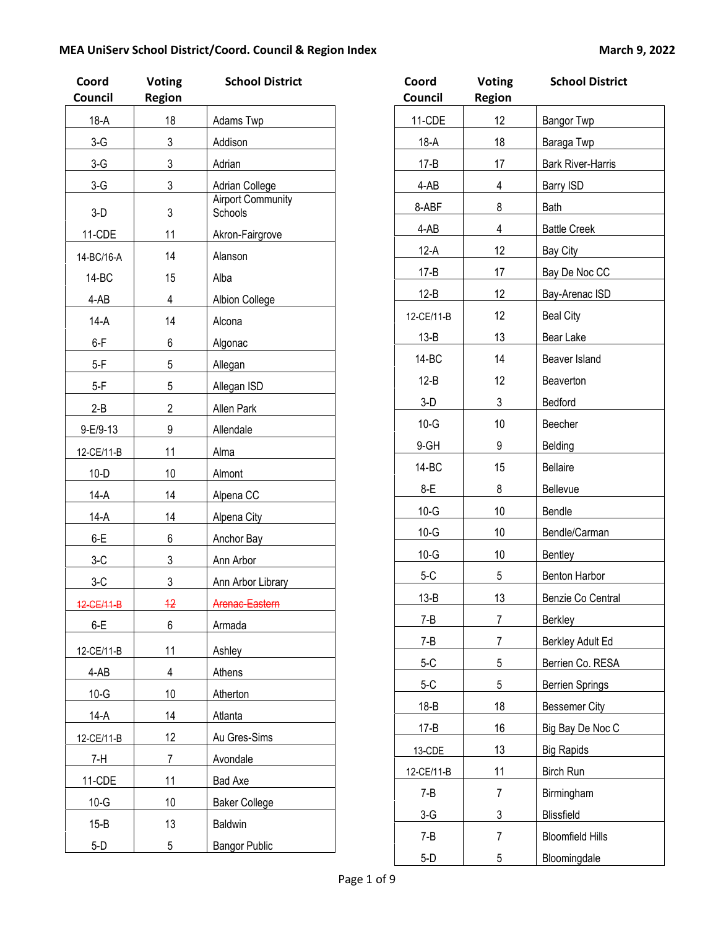| Coord<br>Council   | <b>Voting</b><br>Region | <b>School District</b>              | Coord<br>Council | <b>Voting</b><br>Region | <b>School District</b>   |
|--------------------|-------------------------|-------------------------------------|------------------|-------------------------|--------------------------|
| $18-A$             | 18                      | Adams Twp                           | 11-CDE           | 12                      | <b>Bangor Twp</b>        |
| $3-G$              | 3                       | Addison                             | 18-A             | 18                      | Baraga Twp               |
| $3-G$              | 3                       | Adrian                              | $17 - B$         | 17                      | <b>Bark River-Harris</b> |
| $3-G$              | 3                       | Adrian College                      | 4-AB             | $\overline{4}$          | Barry ISD                |
| $3-D$              | 3                       | <b>Airport Community</b><br>Schools | 8-ABF            | 8                       | Bath                     |
| 11-CDE             | 11                      | Akron-Fairgrove                     | 4-AB             | $\overline{4}$          | <b>Battle Creek</b>      |
| 14-BC/16-A         | 14                      | Alanson                             | $12-A$           | 12                      | Bay City                 |
| 14-BC              | 15                      | Alba                                | $17 - B$         | 17                      | Bay De Noc CC            |
| 4-AB               | 4                       | Albion College                      | $12-B$           | 12                      | Bay-Arenac ISD           |
| 14-A               | 14                      | Alcona                              | 12-CE/11-B       | 12                      | <b>Beal City</b>         |
| $6-F$              | 6                       | Algonac                             | $13-B$           | 13                      | Bear Lake                |
| $5-F$              | 5                       | Allegan                             | 14-BC            | 14                      | Beaver Island            |
| $5-F$              | 5                       | Allegan ISD                         | $12-B$           | 12                      | Beaverton                |
| $2-B$              | $\overline{2}$          | Allen Park                          | $3-D$            | 3                       | Bedford                  |
| $9-E/9-13$         | 9                       | Allendale                           | $10-G$           | 10                      | Beecher                  |
| 12-CE/11-B         | 11                      | Alma                                | 9-GH             | 9                       | Belding                  |
| $10-D$             | $10$                    | Almont                              | 14-BC            | 15                      | <b>Bellaire</b>          |
| $14-A$             | 14                      | Alpena CC                           | $8-E$            | 8                       | Bellevue                 |
| $14-A$             | 14                      | Alpena City                         | $10-G$           | 10                      | Bendle                   |
| $6-E$              | 6                       | Anchor Bay                          | $10-G$           | 10                      | Bendle/Carman            |
| $3-C$              | 3                       | Ann Arbor                           | $10-G$           | $10$                    | Bentley                  |
| $3-C$              | 3                       | Ann Arbor Library                   | $5-C$            | 5                       | Benton Harbor            |
| 12 CE/11 B         | <u>42</u>               | Arenae Eastern                      | $13 - B$         | 13                      | Benzie Co Central        |
| $6-E$              | 6                       | Armada                              | $7 - B$          | $\overline{7}$          | Berkley                  |
|                    | 11                      | Ashley                              | $7 - B$          | $\overline{7}$          | Berkley Adult Ed         |
| 12-CE/11-B<br>4-AB | 4                       | Athens                              | $5-C$            | 5                       | Berrien Co. RESA         |
| $10-G$             | 10                      | Atherton                            | $5-C$            | 5                       | <b>Berrien Springs</b>   |
|                    | 14                      |                                     | 18-B             | 18                      | <b>Bessemer City</b>     |
| 14-A               |                         | Atlanta                             | $17 - B$         | 16                      | Big Bay De Noc C         |
| 12-CE/11-B         | 12<br>$\overline{7}$    | Au Gres-Sims                        | 13-CDE           | 13                      | <b>Big Rapids</b>        |
| $7-H$              |                         | Avondale                            | 12-CE/11-B       | 11                      | Birch Run                |
| 11-CDE             | 11                      | Bad Axe                             | $7 - B$          | 7                       | Birmingham               |
| $10-G$             | 10                      | <b>Baker College</b>                | $3-G$            | 3                       | Blissfield               |
| $15-B$             | 13                      | Baldwin                             | $7 - B$          | 7                       | <b>Bloomfield Hills</b>  |
| $5-D$              | $5\,$                   | <b>Bangor Public</b>                |                  |                         |                          |

| Coord<br>Council | <b>Voting</b><br>Region | <b>School District</b>   |
|------------------|-------------------------|--------------------------|
| 11-CDE           | 12                      | Bangor Twp               |
| $18-A$           | 18                      | Baraga Twp               |
| $17 - B$         | 17                      | <b>Bark River-Harris</b> |
| 4-AB             | 4                       | Barry ISD                |
| 8-ABF            | 8                       | <b>Bath</b>              |
| 4-AB             | 4                       | <b>Battle Creek</b>      |
| $12-A$           | 12                      | Bay City                 |
| $17 - B$         | 17                      | Bay De Noc CC            |
| $12-B$           | 12                      | Bay-Arenac ISD           |
| 12-CE/11-B       | 12                      | <b>Beal City</b>         |
| $13-B$           | 13                      | Bear Lake                |
| 14-BC            | 14                      | Beaver Island            |
| $12-B$           | 12                      | Beaverton                |
| $3-D$            | 3                       | <b>Bedford</b>           |
| $10-G$           | 10                      | Beecher                  |
| 9-GH             | 9                       | Belding                  |
| 14-BC            | 15                      | <b>Bellaire</b>          |
| $8-E$            | 8                       | Bellevue                 |
| $10-G$           | 10                      | Bendle                   |
| $10-G$           | 10                      | Bendle/Carman            |
| $10-G$           | 10                      | Bentley                  |
| $5-C$            | 5                       | Benton Harbor            |
| $13-B$           | 13                      | Benzie Co Central        |
| $7 - B$          | 7                       | Berkley                  |
| $7 - B$          | 7                       | Berkley Adult Ed         |
| $5-C$            | 5                       | Berrien Co. RESA         |
| $5-C$            | 5                       | <b>Berrien Springs</b>   |
| 18-B             | 18                      | Bessemer City            |
| $17 - B$         | 16                      | Big Bay De Noc C         |
| 13-CDE           | 13                      | <b>Big Rapids</b>        |
| 12-CE/11-B       | 11                      | <b>Birch Run</b>         |
| $7 - B$          | 7                       | Birmingham               |
| $3-G$            | 3                       | Blissfield               |
| $7 - B$          | 7                       | <b>Bloomfield Hills</b>  |
| $5-D$            | 5                       | Bloomingdale             |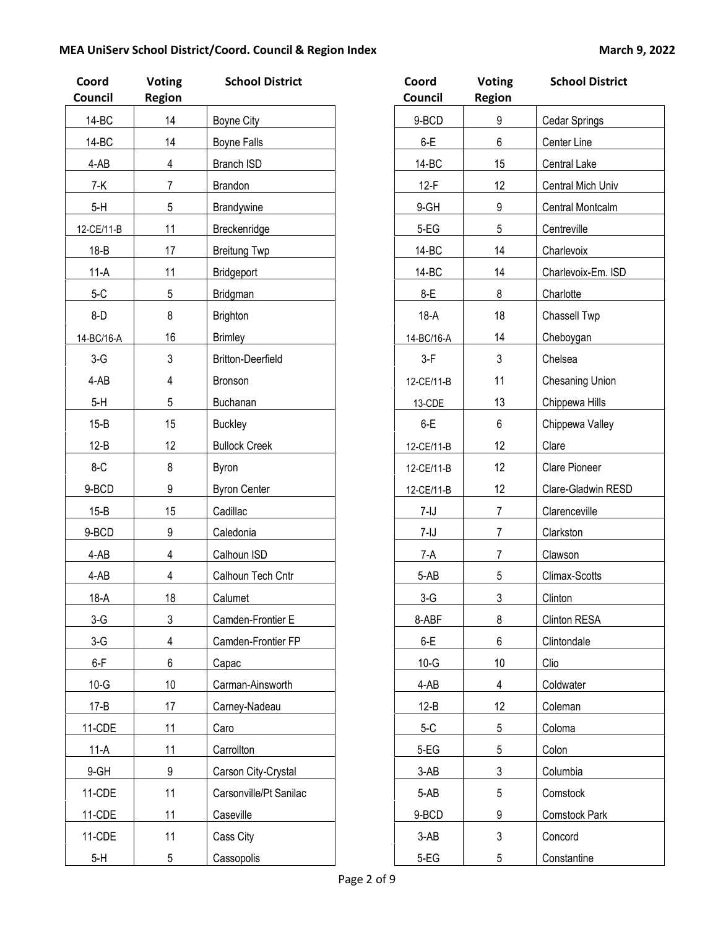| Coord<br>Council | <b>Voting</b><br>Region | <b>School District</b>   | Coord<br>Council | <b>Voting</b><br>Region | <b>School District</b> |
|------------------|-------------------------|--------------------------|------------------|-------------------------|------------------------|
| 14-BC            | 14                      | Boyne City               | 9-BCD            | 9                       | Cedar Springs          |
| 14-BC            | 14                      | <b>Boyne Falls</b>       | $6-E$            | 6                       | Center Line            |
| 4-AB             | 4                       | Branch ISD               | 14-BC            | 15                      | Central Lake           |
| $7-K$            | 7                       | Brandon                  | $12-F$           | 12                      | Central Mich Univ      |
| $5-H$            | 5                       | Brandywine               | 9-GH             | 9                       | Central Montcalm       |
| 12-CE/11-B       | 11                      | Breckenridge             | $5-EG$           | 5                       | Centreville            |
| $18 - B$         | 17                      | <b>Breitung Twp</b>      | 14-BC            | 14                      | Charlevoix             |
| $11-A$           | 11                      | Bridgeport               | 14-BC            | 14                      | Charlevoix-Em. ISD     |
| $5-C$            | 5                       | Bridgman                 | $8-E$            | 8                       | Charlotte              |
| $8-D$            | 8                       | <b>Brighton</b>          | $18-A$           | 18                      | Chassell Twp           |
| 14-BC/16-A       | 16                      | <b>Brimley</b>           | 14-BC/16-A       | 14                      | Cheboygan              |
| $3-G$            | 3                       | <b>Britton-Deerfield</b> | $3-F$            | 3                       | Chelsea                |
| $4-AB$           | 4                       | Bronson                  | 12-CE/11-B       | 11                      | Chesaning Union        |
| $5-H$            | 5                       | Buchanan                 | 13-CDE           | 13                      | Chippewa Hills         |
| $15-B$           | 15                      | <b>Buckley</b>           | $6-E$            | $6\phantom{1}$          | Chippewa Valley        |
| $12-B$           | 12                      | <b>Bullock Creek</b>     | 12-CE/11-B       | 12                      | Clare                  |
| $8-C$            | 8                       | Byron                    | 12-CE/11-B       | 12                      | Clare Pioneer          |
| 9-BCD            | 9                       | <b>Byron Center</b>      | 12-CE/11-B       | 12                      | Clare-Gladwin RESI     |
| $15-B$           | 15                      | Cadillac                 | $7 - 1J$         | $\overline{7}$          | Clarenceville          |
| 9-BCD            | 9                       | Caledonia                | $7 - 1J$         | $\overline{7}$          | Clarkston              |
| 4-AB             | 4                       | Calhoun ISD              | 7-A              | $\overline{7}$          | Clawson                |
| 4-AB             | 4                       | Calhoun Tech Cntr        | 5-AB             | 5                       | Climax-Scotts          |
| $18-A$           | 18                      | Calumet                  | $3-G$            | 3                       | Clinton                |
| $3-G$            | 3                       | Camden-Frontier E        | 8-ABF            | 8                       | Clinton RESA           |
| $3-G$            | 4                       | Camden-Frontier FP       | $6-E$            | 6                       | Clintondale            |
| $6-F$            | 6                       | Capac                    | $10-G$           | 10 <sup>°</sup>         | Clio                   |
| $10-G$           | 10                      | Carman-Ainsworth         | 4-AB             | 4                       | Coldwater              |
| $17 - B$         | 17                      | Carney-Nadeau            | $12-B$           | 12                      | Coleman                |
| 11-CDE           | 11                      | Caro                     | $5-C$            | 5                       | Coloma                 |
| 11-A             | 11                      | Carrollton               | $5-EG$           | 5                       | Colon                  |
| 9-GH             | 9                       | Carson City-Crystal      | $3-AB$           | 3                       | Columbia               |
| 11-CDE           | 11                      | Carsonville/Pt Sanilac   | 5-AB             | 5                       | Comstock               |
| 11-CDE           | 11                      | Caseville                | 9-BCD            | 9                       | Comstock Park          |
| 11-CDE           | 11                      | Cass City                | $3-AB$           | 3                       | Concord                |
| $5-H$            | $\overline{5}$          | Cassopolis               | $5-EG$           | 5                       | Constantine            |

| Coord<br>Council | <b>Voting</b><br><b>Region</b> | <b>School District</b> |
|------------------|--------------------------------|------------------------|
| 9-BCD            | 9                              | Cedar Springs          |
| $6-E$            | 6                              | Center Line            |
| $14 - BC$        | 15                             | Central Lake           |
| $12-F$           | 12                             | Central Mich Univ      |
| 9-GH             | 9                              | Central Montcalm       |
| $5-EG$           | 5                              | Centreville            |
| 14-BC            | 14                             | Charlevoix             |
| 14-BC            | 14                             | Charlevoix-Em. ISD     |
| 8-E              | 8                              | Charlotte              |
| $18-A$           | 18                             | Chassell Twp           |
| 14-BC/16-A       | 14                             | Cheboygan              |
| $3-F$            | 3                              | Chelsea                |
| 12-CE/11-B       | 11                             | Chesaning Union        |
| 13-CDE           | 13                             | Chippewa Hills         |
| $6-E$            | 6                              | Chippewa Valley        |
| 12-CE/11-B       | 12                             | Clare                  |
| 12-CE/11-B       | 12                             | Clare Pioneer          |
| 12-CE/11-B       | 12                             | Clare-Gladwin RESD     |
| $7 - IJ$         | 7                              | Clarenceville          |
| 7-IJ             | 7                              | Clarkston              |
| $7-A$            | 7                              | Clawson                |
| 5-AB             | 5                              | Climax-Scotts          |
| $3-G$            | 3                              | Clinton                |
| 8-ABF            | 8                              | Clinton RESA           |
| $6-E$            | 6                              | Clintondale            |
| $10-G$           | 10 <sup>1</sup>                | $C$ lio                |
| 4-AB             | 4                              | Coldwater              |
| $12-B$           | 12                             | Coleman                |
| $5-C$            | 5                              | Coloma                 |
| $5-EG$           | 5                              | Colon                  |
| $3-AB$           | 3                              | Columbia               |
| 5-AB             | 5                              | Comstock               |
| 9-BCD            | 9                              | Comstock Park          |
| $3-AB$           | 3                              | Concord                |
| $5-EG$           | 5                              | Constantine            |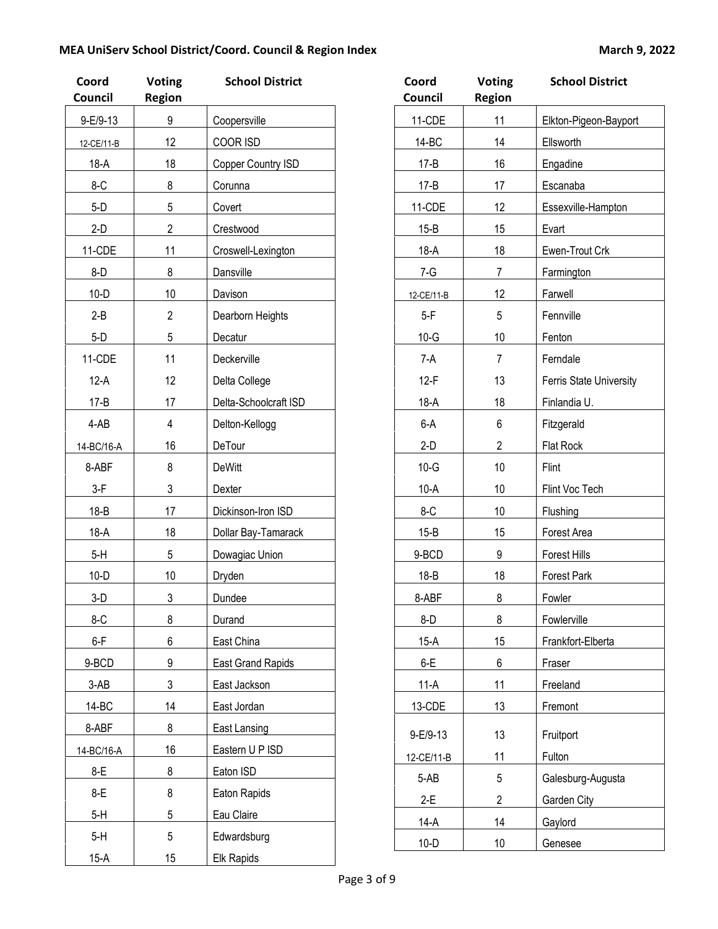| Coord<br>Council | <b>Voting</b><br>Region | <b>School District</b> | Coord<br>Council | Voting<br>Region | <b>School District</b> |
|------------------|-------------------------|------------------------|------------------|------------------|------------------------|
| $9-E/9-13$       | $\boldsymbol{9}$        | Coopersville           | 11-CDE           | 11               | Elkton-Pigeon-Bayp     |
| 12-CE/11-B       | 12                      | COOR ISD               | 14-BC            | 14               | Ellsworth              |
| $18-A$           | 18                      | Copper Country ISD     | $17 - B$         | 16               | Engadine               |
| $8-C$            | 8                       | Corunna                | $17 - B$         | 17               | Escanaba               |
| $5-D$            | 5                       | Covert                 | 11-CDE           | 12               | Essexville-Hampton     |
| $2-D$            | $\overline{2}$          | Crestwood              | $15-B$           | 15               | Evart                  |
| 11-CDE           | 11                      | Croswell-Lexington     | 18-A             | 18               | Ewen-Trout Crk         |
| $8-D$            | 8                       | Dansville              | $7-G$            | 7                | Farmington             |
| $10-D$           | 10                      | Davison                | 12-CE/11-B       | 12               | Farwell                |
| $2-B$            | $\overline{2}$          | Dearborn Heights       | $5-F$            | 5                | Fennville              |
| $5-D$            | 5                       | Decatur                | $10-G$           | $10$             | Fenton                 |
| 11-CDE           | 11                      | Deckerville            | $7-A$            | $\overline{7}$   | Ferndale               |
| $12-A$           | 12                      | Delta College          | $12-F$           | 13               | Ferris State Univers   |
| $17 - B$         | 17                      | Delta-Schoolcraft ISD  | $18-A$           | 18               | Finlandia U.           |
| $4-AB$           | 4                       | Delton-Kellogg         | $6-A$            | $6\,$            | Fitzgerald             |
| 14-BC/16-A       | 16                      | DeTour                 | $2-D$            | $\overline{2}$   | Flat Rock              |
| 8-ABF            | 8                       | <b>DeWitt</b>          | $10-G$           | $10$             | Flint                  |
| $3-F$            | 3                       | Dexter                 | $10-A$           | 10               | Flint Voc Tech         |
| $18 - B$         | 17                      | Dickinson-Iron ISD     | $8-C$            | 10               | Flushing               |
| $18-A$           | 18                      | Dollar Bay-Tamarack    | $15-B$           | 15               | Forest Area            |
| $5-H$            | $\sqrt{5}$              | Dowagiac Union         | 9-BCD            | 9                | Forest Hills           |
| $10-D$           | 10                      | Dryden                 | 18-B             | 18               | Forest Park            |
| $3-D$            | 3                       | Dundee                 | 8-ABF            | 8                | <b>Fowler</b>          |
| $8-C$            | 8                       | Durand                 | $8-D$            | 8                | Fowlerville            |
| $6-F$            | $6\phantom{a}$          | East China             | $15-A$           | 15               | Frankfort-Elberta      |
| 9-BCD            | 9                       | East Grand Rapids      | $6-E$            | 6                | Fraser                 |
| $3-AB$           | 3                       | East Jackson           | $11-A$           | 11               | Freeland               |
| 14-BC            | 14                      | East Jordan            | 13-CDE           | 13               | Fremont                |
| 8-ABF            | 8                       | East Lansing           | $9-E/9-13$       | 13               | Fruitport              |
| 14-BC/16-A       | 16                      | Eastern U P ISD        | 12-CE/11-B       | 11               | Fulton                 |
| 8-E              | 8                       | Eaton ISD              | 5-AB             | 5                | Galesburg-Augusta      |
| 8-E              | 8                       | Eaton Rapids           | $2-E$            | $\overline{2}$   | Garden City            |
| $5-H$            | 5                       | Eau Claire             | 14-A             | 14               | Gaylord                |
| $5-H$            | 5                       | Edwardsburg            | $10-D$           | 10               | Genesee                |
| $15-A$           | 15                      | Elk Rapids             |                  |                  |                        |

| Coord<br>Council | <b>Voting</b><br>Region | <b>School District</b>  |
|------------------|-------------------------|-------------------------|
| 11-CDE           | 11                      | Elkton-Pigeon-Bayport   |
| 14-BC            | 14                      | Ellsworth               |
| $17 - B$         | 16                      | Engadine                |
| $17 - B$         | 17                      | Escanaba                |
| 11-CDE           | 12                      | Essexville-Hampton      |
| $15-B$           | 15                      | Evart                   |
| 18-A             | 18                      | Ewen-Trout Crk          |
| $7 - G$          | 7                       | Farmington              |
| 12-CE/11-B       | 12                      | Farwell                 |
| $5-F$            | 5                       | Fennville               |
| $10-G$           | 10                      | Fenton                  |
| 7-A              | 7                       | Ferndale                |
| $12-F$           | 13                      | Ferris State University |
| $18-A$           | 18                      | Finlandia U.            |
| $6-A$            | 6                       | Fitzgerald              |
| $2-D$            | $\overline{2}$          | Flat Rock               |
| $10-G$           | 10                      | Flint                   |
| $10-A$           | 10                      | Flint Voc Tech          |
| $8-C$            | 10                      | Flushing                |
| $15-B$           | 15                      | Forest Area             |
| 9-BCD            | 9                       | <b>Forest Hills</b>     |
| 18-B             | 18                      | <b>Forest Park</b>      |
| 8-ABF            | 8                       | Fowler                  |
| $8-D$            | 8                       | Fowlerville             |
| $15-A$           | 15                      | Frankfort-Elberta       |
| $6-E$            | 6                       | Fraser                  |
| $11-A$           | 11                      | Freeland                |
| 13-CDE           | 13                      | Fremont                 |
| 9-E/9-13         | 13                      | Fruitport               |
| 12-CE/11-B       | 11                      | Fulton                  |
| 5-AB             | 5                       | Galesburg-Augusta       |
| $2-E$            | $\overline{\mathbf{c}}$ | Garden City             |
| 14-A             | 14                      | Gaylord                 |
| $10-D$           | 10                      | Genesee                 |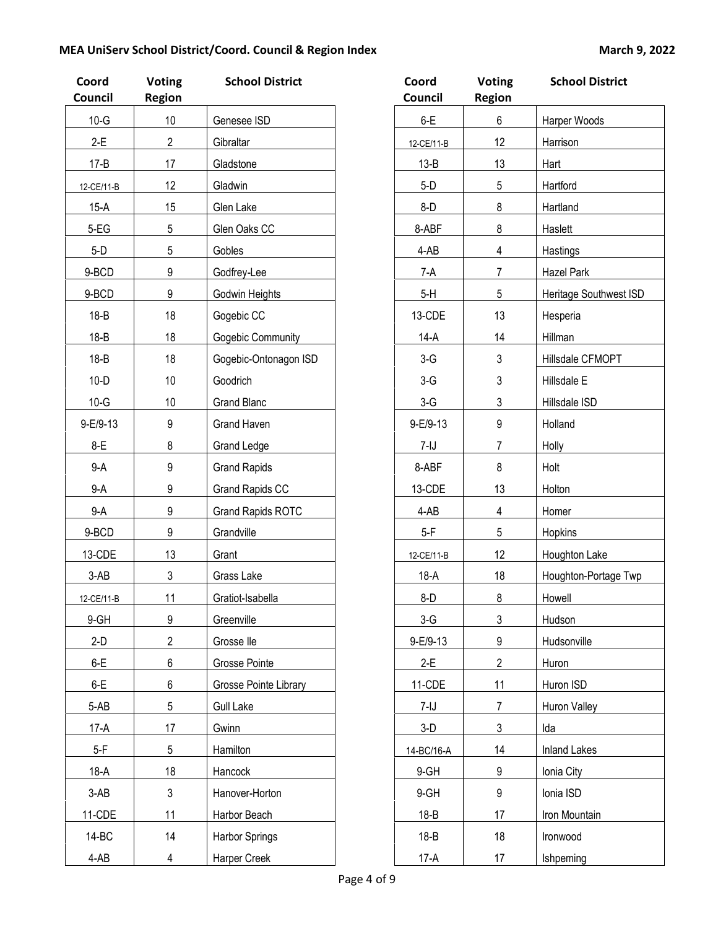| Coord<br>Council | <b>Voting</b><br>Region | <b>School District</b> | Coord<br>Council | Voting<br><b>Region</b> | <b>School District</b> |
|------------------|-------------------------|------------------------|------------------|-------------------------|------------------------|
| $10-G$           | 10                      | Genesee ISD            | $6-E$            | $6\phantom{1}$          | Harper Woods           |
| $2-E$            | $\overline{2}$          | Gibraltar              | 12-CE/11-B       | 12                      | Harrison               |
| $17 - B$         | 17                      | Gladstone              | $13-B$           | 13                      | Hart                   |
| 12-CE/11-B       | 12                      | Gladwin                | $5-D$            | 5                       | Hartford               |
| $15-A$           | 15                      | Glen Lake              | $8-D$            | 8                       | Hartland               |
| $5-EG$           | 5                       | Glen Oaks CC           | 8-ABF            | 8                       | Haslett                |
| $5-D$            | 5                       | Gobles                 | 4-AB             | $\overline{4}$          | Hastings               |
| 9-BCD            | 9                       | Godfrey-Lee            | 7-A              | $\overline{7}$          | Hazel Park             |
| 9-BCD            | 9                       | Godwin Heights         | $5-H$            | 5                       | Heritage Southwest     |
| $18 - B$         | 18                      | Gogebic CC             | 13-CDE           | 13                      | Hesperia               |
| $18 - B$         | 18                      | Gogebic Community      | $14-A$           | 14                      | Hillman                |
| $18 - B$         | 18                      | Gogebic-Ontonagon ISD  | $3-G$            | 3                       | Hillsdale CFMOPT       |
| $10-D$           | 10                      | Goodrich               | $3-G$            | 3                       | Hillsdale E            |
| $10-G$           | 10                      | <b>Grand Blanc</b>     | $3-G$            | 3                       | Hillsdale ISD          |
| 9-E/9-13         | 9                       | Grand Haven            | 9-E/9-13         | 9                       | Holland                |
| $8-E$            | 8                       | Grand Ledge            | $7 - 1J$         | $\overline{7}$          | Holly                  |
| $9-A$            | 9                       | <b>Grand Rapids</b>    | 8-ABF            | $\bf 8$                 | Holt                   |
| $9-A$            | 9                       | Grand Rapids CC        | 13-CDE           | 13                      | Holton                 |
| $9-A$            | 9                       | Grand Rapids ROTC      | 4-AB             | $\overline{\mathbf{4}}$ | Homer                  |
| 9-BCD            | 9                       | Grandville             | $5-F$            | 5                       | Hopkins                |
| 13-CDE           | 13                      | Grant                  | 12-CE/11-B       | 12                      | Houghton Lake          |
| $3-AB$           | 3                       | Grass Lake             | 18-A             | 18                      | Houghton-Portage 1     |
| 12-CE/11-B       | 11                      | Gratiot-Isabella       | $8-D$            | $\bf 8$                 | Howell                 |
| 9-GH             | 9                       | Greenville             | $3-G$            | 3                       | Hudson                 |
| $2-D$            | $\overline{2}$          | Grosse lle             | $9-E/9-13$       | 9                       | Hudsonville            |
| $6-E$            | 6                       | Grosse Pointe          | $2-E$            | $\overline{2}$          | Huron                  |
| $6-E$            | 6                       | Grosse Pointe Library  | 11-CDE           | 11                      | Huron ISD              |
| 5-AB             | 5                       | Gull Lake              | $7 - IJ$         | $\overline{7}$          | Huron Valley           |
| $17-A$           | 17                      | Gwinn                  | $3-D$            | 3                       | Ida                    |
| $5-F$            | 5                       | Hamilton               | 14-BC/16-A       | 14                      | <b>Inland Lakes</b>    |
| 18-A             | 18                      | Hancock                | 9-GH             | 9                       | Ionia City             |
| $3-AB$           | 3                       | Hanover-Horton         | $9-GH$           | 9                       | Ionia ISD              |
| 11-CDE           | 11                      | Harbor Beach           | 18-B             | 17                      | Iron Mountain          |
| 14-BC            | 14                      | Harbor Springs         | 18-B             | 18                      | Ironwood               |
| 4-AB             | $\overline{4}$          | Harper Creek           | $17-A$           | 17                      | Ishpeming              |

| Coord<br>Council | <b>Voting</b><br>Region | <b>School District</b> |
|------------------|-------------------------|------------------------|
| $6-E$            | 6                       | Harper Woods           |
| 12-CE/11-B       | 12                      | Harrison               |
| $13-B$           | 13                      | Hart                   |
| $5-D$            | 5                       | Hartford               |
| $8-D$            | 8                       | Hartland               |
| 8-ABF            | 8                       | Haslett                |
| 4-AB             | 4                       | Hastings               |
| 7-A              | 7                       | <b>Hazel Park</b>      |
| $5-H$            | 5                       | Heritage Southwest ISD |
| 13-CDE           | 13                      | Hesperia               |
| $14-A$           | 14                      | Hillman                |
| $3-G$            | 3                       | Hillsdale CFMOPT       |
| $3-G$            | 3                       | Hillsdale E            |
| $3-G$            | 3                       | Hillsdale ISD          |
| 9-E/9-13         | 9                       | Holland                |
| $7 - IJ$         | 7                       | Holly                  |
| 8-ABF            | 8                       | Holt                   |
| 13-CDE           | 13                      | Holton                 |
| 4-AB             | 4                       | Homer                  |
| $5-F$            | 5                       | Hopkins                |
| 12-CE/11-B       | 12                      | Houghton Lake          |
| $18-A$           | 18                      | Houghton-Portage Twp   |
| $8-D$            | 8                       | Howell                 |
| $3-G$            | 3                       | Hudson                 |
| $9-E/9-13$       | 9                       | Hudsonville            |
| 2-E              | $\overline{c}$          | Huron                  |
| 11-CDE           | 11                      | Huron ISD              |
| $7 - IJ$         | 7                       | Huron Valley           |
| $3-D$            | 3                       | Ida                    |
| 14-BC/16-A       | 14                      | <b>Inland Lakes</b>    |
| $9-GH$           | 9                       | Ionia City             |
| 9-GH             | 9                       | Ionia ISD              |
| 18-B             | 17                      | Iron Mountain          |
| 18-B             | 18                      | Ironwood               |
| $17-A$           | 17                      | Ishpeming              |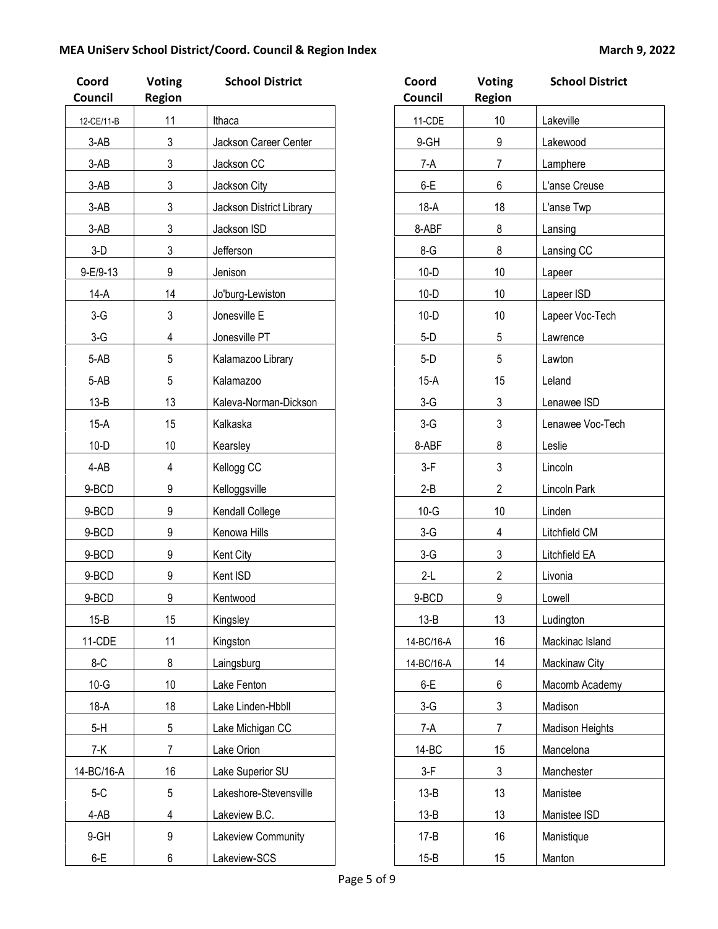| Coord<br>Council | <b>Voting</b><br>Region | <b>School District</b>   | Coord<br>Council | <b>Voting</b><br>Region | <b>School District</b> |
|------------------|-------------------------|--------------------------|------------------|-------------------------|------------------------|
| 12-CE/11-B       | 11                      | Ithaca                   | 11-CDE           | 10                      | Lakeville              |
| $3-AB$           | 3                       | Jackson Career Center    | 9-GH             | $\boldsymbol{9}$        | Lakewood               |
| $3-AB$           | 3                       | Jackson CC               | $7-A$            | $\overline{7}$          | Lamphere               |
| $3-AB$           | 3                       | Jackson City             | $6-E$            | $\,6\,$                 | L'anse Creuse          |
| $3-AB$           | 3                       | Jackson District Library | 18-A             | 18                      | L'anse Twp             |
| $3-AB$           | 3                       | Jackson ISD              | 8-ABF            | 8                       | Lansing                |
| $3-D$            | 3                       | Jefferson                | $8-G$            | 8                       | Lansing CC             |
| $9-E/9-13$       | 9                       | Jenison                  | $10-D$           | 10                      | Lapeer                 |
| $14-A$           | 14                      | Jo'burg-Lewiston         | $10-D$           | 10                      | Lapeer ISD             |
| $3-G$            | 3                       | Jonesville E             | $10-D$           | 10                      | Lapeer Voc-Tech        |
| $3-G$            | 4                       | Jonesville PT            | $5-D$            | 5                       | Lawrence               |
| 5-AB             | 5                       | Kalamazoo Library        | $5-D$            | 5                       | Lawton                 |
| 5-AB             | 5                       | Kalamazoo                | $15-A$           | 15                      | Leland                 |
| $13-B$           | 13                      | Kaleva-Norman-Dickson    | $3-G$            | 3                       | Lenawee ISD            |
| $15-A$           | 15                      | Kalkaska                 | $3-G$            | 3                       | Lenawee Voc-Tech       |
| $10-D$           | 10                      | Kearsley                 | 8-ABF            | 8                       | Leslie                 |
| 4-AB             | 4                       | Kellogg CC               | $3-F$            | 3                       | Lincoln                |
| 9-BCD            | 9                       | Kelloggsville            | $2-B$            | $\overline{2}$          | Lincoln Park           |
| 9-BCD            | 9                       | Kendall College          | $10-G$           | 10                      | Linden                 |
| 9-BCD            | 9                       | Kenowa Hills             | $3-G$            | $\overline{4}$          | Litchfield CM          |
| 9-BCD            | 9                       | Kent City                | $3-G$            | 3                       | Litchfield EA          |
| 9-BCD            | 9                       | Kent ISD                 | $2-L$            | $\overline{c}$          | Livonia                |
| 9-BCD            | 9                       | Kentwood                 | $9-BCD$          | 9                       | Lowell                 |
| $15-B$           | 15                      | Kingsley                 | $13-B$           | 13                      | Ludington              |
| 11-CDE           | 11                      | Kingston                 | 14-BC/16-A       | 16                      | Mackinac Island        |
| $8-C$            | 8                       | Laingsburg               | 14-BC/16-A       | 14                      | Mackinaw City          |
| $10-G$           | 10                      | Lake Fenton              | $6-E$            | $\,6\,$                 | Macomb Academy         |
| $18-A$           | 18                      | Lake Linden-Hbbll        | $3-G$            | 3                       | Madison                |
| $5-H$            | 5                       | Lake Michigan CC         | $7-A$            | 7                       | <b>Madison Heights</b> |
| 7-K              | $\overline{7}$          | Lake Orion               | 14-BC            | 15                      | Mancelona              |
| 14-BC/16-A       | 16                      | Lake Superior SU         | $3-F$            | 3                       | Manchester             |
| $5-C$            | 5                       | Lakeshore-Stevensville   | $13-B$           | 13                      | Manistee               |
| 4-AB             | 4                       | Lakeview B.C.            | $13-B$           | 13                      | Manistee ISD           |
| 9-GH             | 9                       | Lakeview Community       | $17 - B$         | 16                      | Manistique             |
| $6-E$            | 6                       | Lakeview-SCS             | $15-B$           | 15                      | Manton                 |

| Coord<br>Council | <b>Voting</b><br>Region | <b>School District</b> |
|------------------|-------------------------|------------------------|
| 11-CDE           | 10                      | Lakeville              |
| 9-GH             | 9                       | Lakewood               |
| 7-A              | 7                       | Lamphere               |
| $6-E$            | 6                       | L'anse Creuse          |
| $18-A$           | 18                      | L'anse Twp             |
| 8-ABF            | 8                       | Lansing                |
| $8-G$            | 8                       | Lansing CC             |
| $10-D$           | 10                      | Lapeer                 |
| $10-D$           | 10                      | Lapeer ISD             |
| $10-D$           | 10                      | Lapeer Voc-Tech        |
| $5-D$            | 5                       | Lawrence               |
| $5-D$            | 5                       | Lawton                 |
| $15-A$           | 15                      | Leland                 |
| $3-G$            | 3                       | Lenawee ISD            |
| $3-G$            | 3                       | Lenawee Voc-Tech       |
| 8-ABF            | 8                       | Leslie                 |
| $3-F$            | 3                       | Lincoln                |
| $2-B$            | $\overline{2}$          | Lincoln Park           |
| $10-G$           | 10                      | Linden                 |
| $3-G$            | 4                       | Litchfield CM          |
| $3-G$            | 3                       | Litchfield EA          |
| $2-L$            | 2                       | Livonia                |
| 9-BCD            | 9                       | Lowell                 |
| $13-B$           | 13                      | Ludington              |
| 14-BC/16-A       | 16                      | Mackinac Island        |
| 14-BC/16-A       | 14                      | Mackinaw City          |
| $6-E$            | 6                       | Macomb Academy         |
| $3-G$            | 3                       | Madison                |
| 7-A              | 7                       | Madison Heights        |
| 14-BC            | 15                      | Mancelona              |
| $3-F$            | 3                       | Manchester             |
| $13-B$           | 13                      | Manistee               |
| $13-B$           | 13                      | Manistee ISD           |
| $17 - B$         | 16                      | Manistique             |
| $15-B$           | 15                      | Manton                 |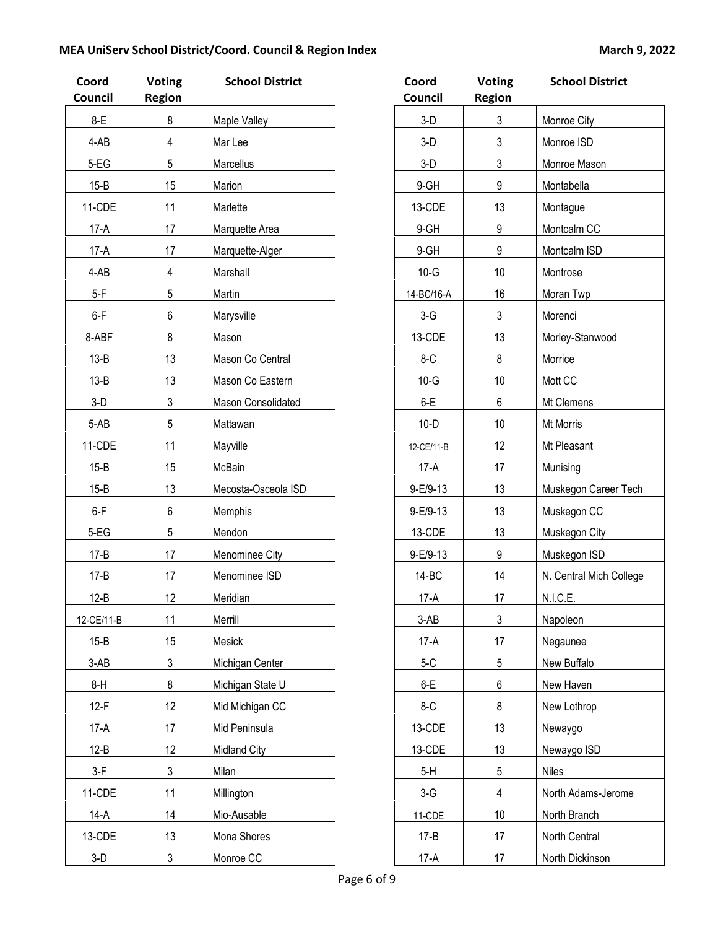| Coord<br>Council | <b>Voting</b><br>Region | <b>School District</b> | Coord<br>Council | <b>Voting</b><br>Region | <b>School District</b> |
|------------------|-------------------------|------------------------|------------------|-------------------------|------------------------|
| $8-E$            | 8                       | Maple Valley           | $3-D$            | 3                       | Monroe City            |
| 4-AB             | 4                       | Mar Lee                | $3-D$            | 3                       | Monroe ISD             |
| $5-EG$           | $\sqrt{5}$              | Marcellus              | $3-D$            | 3                       | Monroe Mason           |
| $15-B$           | 15                      | Marion                 | 9-GH             | 9                       | Montabella             |
| 11-CDE           | 11                      | Marlette               | 13-CDE           | 13                      | Montague               |
| $17-A$           | 17                      | Marquette Area         | 9-GH             | 9                       | Montcalm CC            |
| $17-A$           | 17                      | Marquette-Alger        | 9-GH             | $\boldsymbol{9}$        | Montcalm ISD           |
| 4-AB             | 4                       | Marshall               | $10-G$           | 10                      | Montrose               |
| $5-F$            | 5                       | Martin                 | 14-BC/16-A       | 16                      | Moran Twp              |
| $6-F$            | 6                       | Marysville             | $3-G$            | 3                       | Morenci                |
| 8-ABF            | 8                       | Mason                  | 13-CDE           | 13                      | Morley-Stanwood        |
| $13-B$           | 13                      | Mason Co Central       | $8-C$            | 8                       | Morrice                |
| $13-B$           | 13                      | Mason Co Eastern       | $10-G$           | $10\,$                  | Mott CC                |
| $3-D$            | 3                       | Mason Consolidated     | $6-E$            | $\,6\,$                 | Mt Clemens             |
| 5-AB             | 5                       | Mattawan               | $10-D$           | $10$                    | Mt Morris              |
| 11-CDE           | 11                      | Mayville               | 12-CE/11-B       | 12                      | Mt Pleasant            |
| $15-B$           | 15                      | McBain                 | $17-A$           | 17                      | Munising               |
| $15-B$           | 13                      | Mecosta-Osceola ISD    | $9-E/9-13$       | 13                      | Muskegon Career T      |
| $6-F$            | 6                       | Memphis                | $9-E/9-13$       | 13                      | Muskegon CC            |
| $5-EG$           | 5                       | Mendon                 | 13-CDE           | 13                      | Muskegon City          |
| $17 - B$         | 17                      | Menominee City         | $9-E/9-13$       | $\boldsymbol{9}$        | Muskegon ISD           |
| $17 - B$         | 17                      | Menominee ISD          | 14-BC            | 14                      | N. Central Mich Coll   |
| $12-B$           | 12                      | Meridian               | $17-A$           | 17                      | N.I.C.E.               |
| 12-CE/11-B       | 11                      | Merrill                | $3-AB$           | 3                       | Napoleon               |
| $15-B$           | 15                      | Mesick                 | $17-A$           | 17                      | Negaunee               |
| $3-AB$           | 3                       | Michigan Center        | $5-C$            | 5                       | New Buffalo            |
| $8-H$            | 8                       | Michigan State U       | $6-E$            | 6                       | New Haven              |
| $12-F$           | 12                      | Mid Michigan CC        | $8-C$            | $\bf 8$                 | New Lothrop            |
| $17-A$           | 17                      | Mid Peninsula          | 13-CDE           | 13                      | Newaygo                |
| $12-B$           | 12                      | Midland City           | 13-CDE           | 13                      | Newaygo ISD            |
| $3-F$            | 3                       | Milan                  | $5-H$            | 5                       | Niles                  |
| 11-CDE           | 11                      | Millington             | $3-G$            | $\overline{4}$          | North Adams-Jerom      |
| 14-A             | 14                      | Mio-Ausable            | 11-CDE           | $10$                    | North Branch           |
| 13-CDE           | 13                      | Mona Shores            | $17-B$           | 17                      | North Central          |
| $3-D$            | 3                       | Monroe CC              | 17-A             | 17                      | North Dickinson        |

| Coord<br>Council | <b>Voting</b><br>Region | <b>School District</b>  |
|------------------|-------------------------|-------------------------|
| $3-D$            | 3                       | Monroe City             |
| $3-D$            | 3                       | Monroe ISD              |
| $3-D$            | 3                       | Monroe Mason            |
| 9-GH             | 9                       | Montabella              |
| 13-CDE           | 13                      | Montague                |
| 9-GH             | 9                       | Montcalm CC             |
| 9-GH             | 9                       | Montcalm ISD            |
| $10-G$           | 10                      | Montrose                |
| 14-BC/16-A       | 16                      | Moran Twp               |
| $3-G$            | 3                       | Morenci                 |
| 13-CDE           | 13                      | Morley-Stanwood         |
| $8-C$            | 8                       | Morrice                 |
| $10-G$           | 10                      | Mott CC                 |
| $6-E$            | 6                       | Mt Clemens              |
| $10-D$           | 10                      | Mt Morris               |
| 12-CE/11-B       | 12                      | Mt Pleasant             |
| 17-A             | 17                      | Munising                |
| 9-E/9-13         | 13                      | Muskegon Career Tech    |
| 9-E/9-13         | 13                      | Muskegon CC             |
| 13-CDE           | 13                      | Muskegon City           |
| 9-E/9-13         | 9                       | Muskegon ISD            |
| 14-BC            | 14                      | N. Central Mich College |
| $17-A$           | 17                      | N.I.C.E.                |
| 3-AB             | 3                       | Napoleon                |
| $17-A$           | 17                      | Negaunee                |
| $5-C$            | 5                       | New Buffalo             |
| $6-E$            | 6                       | New Haven               |
| $8-C$            | 8                       | New Lothrop             |
| 13-CDE           | 13                      | Newaygo                 |
| 13-CDE           | 13                      | Newaygo ISD             |
| $5-H$            | 5                       | Niles                   |
| $3-G$            | 4                       | North Adams-Jerome      |
| 11-CDE           | 10                      | North Branch            |
| $17 - B$         | 17                      | North Central           |
| 17-A             | 17                      | North Dickinson         |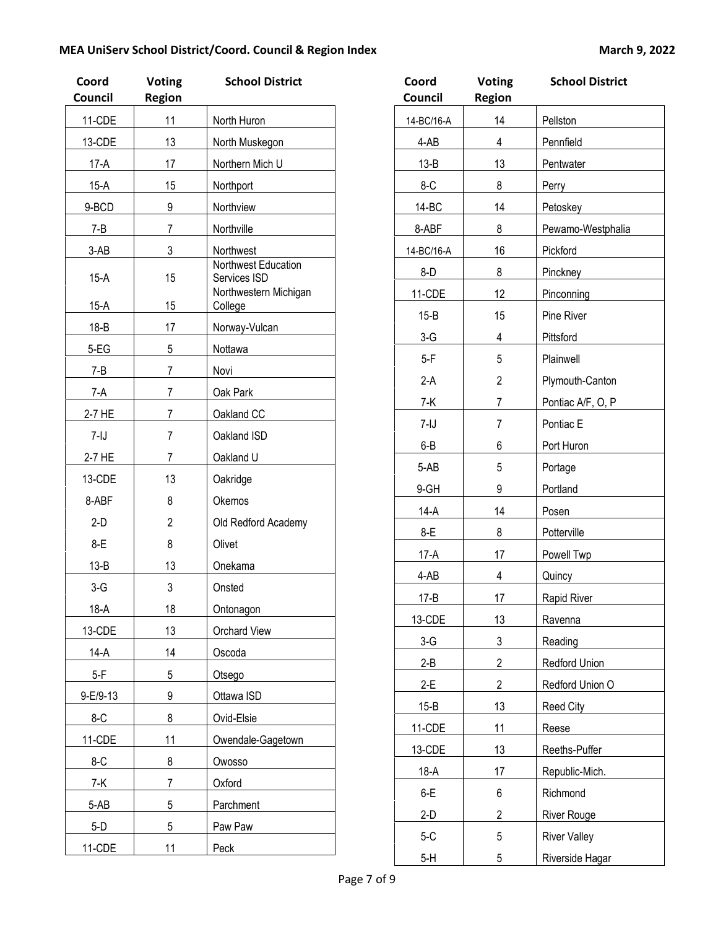| Coord<br>Council | <b>Voting</b><br>Region | <b>School District</b>              | Coord<br>Council | <b>Voting</b><br><b>Region</b> | <b>School District</b> |
|------------------|-------------------------|-------------------------------------|------------------|--------------------------------|------------------------|
| 11-CDE           | 11                      | North Huron                         | 14-BC/16-A       | 14                             | Pellston               |
| 13-CDE           | 13                      | North Muskegon                      | 4-AB             | 4                              | Pennfield              |
| $17-A$           | 17                      | Northern Mich U                     | $13-B$           | 13                             | Pentwater              |
| $15-A$           | 15                      | Northport                           | $8-C$            | 8                              | Perry                  |
| 9-BCD            | $\boldsymbol{9}$        | Northview                           | 14-BC            | 14                             | Petoskey               |
| $7 - B$          | 7                       | Northville                          | 8-ABF            | 8                              | Pewamo-Westphalia      |
| $3-AB$           | 3                       | Northwest                           | 14-BC/16-A       | 16                             | Pickford               |
| $15-A$           | 15                      | Northwest Education<br>Services ISD | $8-D$            | 8                              | Pinckney               |
|                  |                         | Northwestern Michigan               | 11-CDE           | 12                             | Pinconning             |
| $15-A$           | 15                      | College                             | $15-B$           | 15                             | Pine River             |
| $18 - B$         | 17                      | Norway-Vulcan                       | $3-G$            | 4                              | Pittsford              |
| $5-EG$           | 5                       | Nottawa                             | $5-F$            | 5                              | Plainwell              |
| $7 - B$          | $\overline{7}$          | Novi                                | $2-A$            | $\overline{2}$                 | Plymouth-Canton        |
| 7-A              | 7                       | Oak Park                            | $7-K$            | $\overline{7}$                 | Pontiac A/F, O, P      |
| 2-7 HE           | $\overline{7}$          | Oakland CC                          | $7 - 1J$         | $\overline{7}$                 | Pontiac E              |
| $7 - 1J$         | $\overline{7}$          | Oakland ISD                         | $6 - B$          | $\,6\,$                        | Port Huron             |
| 2-7 HE           | $\overline{7}$          | Oakland U                           | 5-AB             | 5                              | Portage                |
| 13-CDE           | 13                      | Oakridge                            | 9-GH             | 9                              | Portland               |
| 8-ABF            | 8                       | Okemos                              | 14-A             | 14                             | Posen                  |
| $2-D$            | $\overline{2}$          | Old Redford Academy                 | $8-E$            | 8                              | Potterville            |
| $8-E$            | 8                       | Olivet                              | $17-A$           | 17                             | Powell Twp             |
| $13-B$           | 13                      | Onekama                             | 4-AB             | $\overline{4}$                 |                        |
| $3-G$            | 3                       | Onsted                              |                  |                                | Quincy                 |
| 18-A             | 18                      | Ontonagon                           | $17 - B$         | 17                             | Rapid River            |
| 13-CDE           | 13                      | Orchard View                        | 13-CDE           | 13                             | Ravenna                |
| 14-A             | 14                      | Oscoda                              | $3-G$            | 3                              | Reading                |
| $5-F$            | 5                       | Otsego                              | $2-B$            | $\overline{2}$                 | Redford Union          |
| 9-E/9-13         | 9                       | Ottawa ISD                          | $2-E$            | $\overline{2}$                 | Redford Union O        |
| $8-C$            | 8                       | Ovid-Elsie                          | $15-B$           | 13                             | Reed City              |
| 11-CDE           | 11                      | Owendale-Gagetown                   | 11-CDE           | 11                             | Reese                  |
| $8-C$            | 8                       | Owosso                              | 13-CDE           | 13                             | Reeths-Puffer          |
| $7-K$            | $\overline{7}$          | Oxford                              | 18-A             | 17                             | Republic-Mich.         |
| 5-AB             | 5                       | Parchment                           | $6-E$            | 6                              | Richmond               |
| $5-D$            | 5                       | Paw Paw                             | $2-D$            | $\overline{2}$                 | <b>River Rouge</b>     |
| 11-CDE           | 11                      | Peck                                | $5-C$            | 5                              | <b>River Valley</b>    |
|                  |                         |                                     |                  |                                |                        |

| Coord<br>Council | <b>Voting</b><br><b>Region</b> | <b>School District</b> |  |  |
|------------------|--------------------------------|------------------------|--|--|
| 14-BC/16-A       | 14                             | Pellston               |  |  |
| 4-AB             | 4                              | Pennfield              |  |  |
| $13-B$           | 13                             | Pentwater              |  |  |
| $8-C$            | 8                              | Perry                  |  |  |
| 14-BC            | 14                             | Petoskey               |  |  |
| 8-ABF            | 8                              | Pewamo-Westphalia      |  |  |
| 14-BC/16-A       | 16                             | Pickford               |  |  |
| 8-D              | 8                              | Pinckney               |  |  |
| 11-CDE           | 12                             | Pinconning             |  |  |
| $15-B$           | 15                             | Pine River             |  |  |
| $3-G$            | 4                              | Pittsford              |  |  |
| $5-F$            | 5                              | Plainwell              |  |  |
| $2-A$            | $\overline{2}$                 | Plymouth-Canton        |  |  |
| $7-K$            | 7                              | Pontiac A/F, O, P      |  |  |
| $7 - IJ$         | 7                              | Pontiac E              |  |  |
| $6 - B$          | 6                              | Port Huron             |  |  |
| 5-AB             | 5                              | Portage                |  |  |
| 9-GH             | 9                              | Portland               |  |  |
| 14-A             | 14                             | Posen                  |  |  |
| $8-E$            | 8                              | Potterville            |  |  |
| 17-A             | 17                             | Powell Twp             |  |  |
| 4-AB             | 4                              | Quincy                 |  |  |
| $17 - B$         | 17                             | Rapid River            |  |  |
| 13-CDE           | 13                             | Ravenna                |  |  |
| $3-G$            | 3                              | Reading                |  |  |
| $2-B$            | 2                              | Redford Union          |  |  |
| $2-E$            | $\overline{2}$                 | Redford Union O        |  |  |
| $15-B$           | 13                             | Reed City              |  |  |
| 11-CDE           | 11                             | Reese                  |  |  |
| 13-CDE           | 13                             | Reeths-Puffer          |  |  |
| $18-A$           | 17                             | Republic-Mich.         |  |  |
| $6-E$            | 6                              | Richmond               |  |  |
| $2-D$            | $\overline{2}$                 | River Rouge            |  |  |
| $5-C$            | 5                              | <b>River Valley</b>    |  |  |
| $5-H$            | 5                              | Riverside Hagar        |  |  |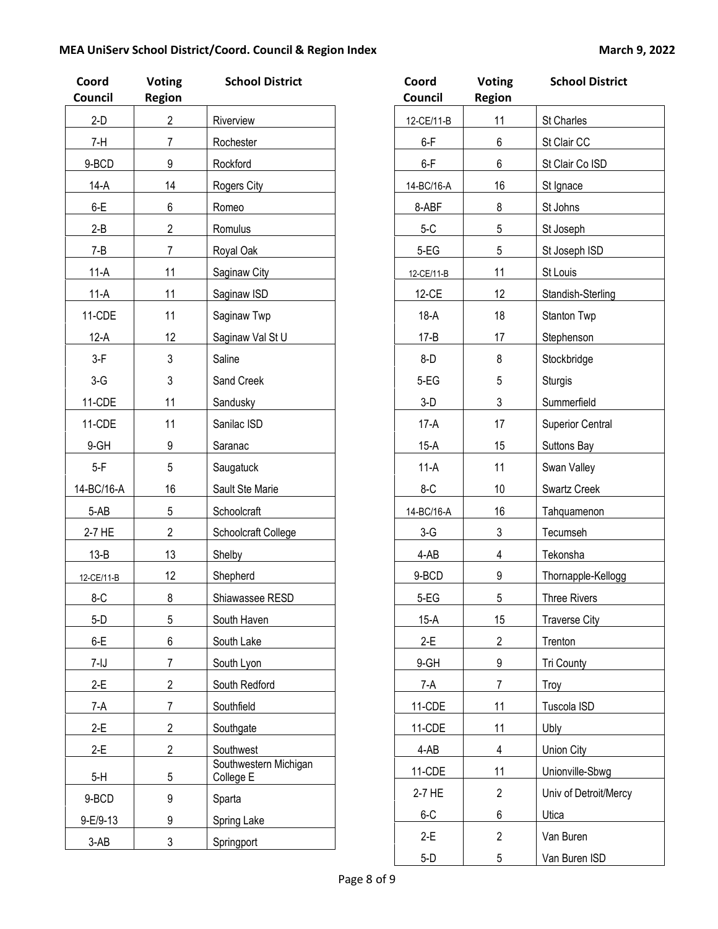| Coord<br>Council | <b>Voting</b><br><b>Region</b> | <b>School District</b>             | Coord<br>Council | <b>Voting</b><br>Region | <b>School District</b>  |
|------------------|--------------------------------|------------------------------------|------------------|-------------------------|-------------------------|
| $2-D$            | $\overline{2}$                 | Riverview                          | 12-CE/11-B       | 11                      | St Charles              |
| $7-H$            | $\overline{7}$                 | Rochester                          | $6-F$            | $\,6\,$                 | St Clair CC             |
| 9-BCD            | 9                              | Rockford                           | $6-F$            | $\,6\,$                 | St Clair Co ISD         |
| $14-A$           | 14                             | Rogers City                        | 14-BC/16-A       | 16                      | St Ignace               |
| $6-E$            | 6                              | Romeo                              | 8-ABF            | 8                       | St Johns                |
| $2-B$            | $\overline{c}$                 | Romulus                            | $5-C$            | 5                       | St Joseph               |
| $7 - B$          | $\overline{7}$                 | Royal Oak                          | $5-EG$           | 5                       | St Joseph ISD           |
| $11-A$           | 11                             | Saginaw City                       | 12-CE/11-B       | 11                      | St Louis                |
| $11-A$           | 11                             | Saginaw ISD                        | 12-CE            | 12                      | Standish-Sterling       |
| 11-CDE           | 11                             | Saginaw Twp                        | 18-A             | 18                      | Stanton Twp             |
| $12-A$           | 12                             | Saginaw Val St U                   | $17 - B$         | 17                      | Stephenson              |
| $3-F$            | $\mathfrak{Z}$                 | Saline                             | $8-D$            | 8                       | Stockbridge             |
| $3-G$            | 3                              | Sand Creek                         | $5-EG$           | 5                       | <b>Sturgis</b>          |
| 11-CDE           | 11                             | Sandusky                           | $3-D$            | 3                       | Summerfield             |
| 11-CDE           | 11                             | Sanilac ISD                        | $17-A$           | 17                      | <b>Superior Central</b> |
| 9-GH             | $\boldsymbol{9}$               | Saranac                            | $15-A$           | 15                      | Suttons Bay             |
| $5-F$            | 5                              | Saugatuck                          | $11-A$           | 11                      | Swan Valley             |
| 14-BC/16-A       | 16                             | Sault Ste Marie                    | $8-C$            | 10                      | Swartz Creek            |
| 5-AB             | 5                              | Schoolcraft                        | 14-BC/16-A       | 16                      | Tahquamenon             |
| 2-7 HE           | $\overline{2}$                 | Schoolcraft College                | $3-G$            | 3                       | Tecumseh                |
| $13 - B$         | 13                             | Shelby                             | 4-AB             | $\overline{4}$          | Tekonsha                |
| 12-CE/11-B       | 12                             | Shepherd                           | 9-BCD            | 9                       | Thornapple-Kellogg      |
| $8-C$            | 8                              | Shiawassee RESD                    | $5-EG$           | 5                       | Three Rivers            |
| $5-D$            | 5                              | South Haven                        | $15-A$           | 15                      | <b>Traverse City</b>    |
| $6-E$            | 6                              | South Lake                         | $2-E$            | $\overline{2}$          | Trenton                 |
| $7 - 1J$         | $\overline{7}$                 | South Lyon                         | 9-GH             | 9                       | Tri County              |
| $2-E$            | $\overline{2}$                 | South Redford                      | $7-A$            | $\overline{7}$          | Troy                    |
| $7-A$            | $\overline{7}$                 | Southfield                         | 11-CDE           | 11                      | Tuscola ISD             |
| $2-E$            | $\overline{2}$                 | Southgate                          | 11-CDE           | 11                      | Ubly                    |
| $2-E$            | $\overline{a}$                 | Southwest                          | 4-AB             | 4                       | Union City              |
| $5-H$            | 5                              | Southwestern Michigan<br>College E | 11-CDE           | 11                      | Unionville-Sbwg         |
| 9-BCD            | $\boldsymbol{9}$               |                                    | 2-7 HE           | $\overline{c}$          | Univ of Detroit/Merc    |
| $9-E/9-13$       | 9                              | Sparta<br>Spring Lake              | $6-C$            | 6                       | Utica                   |
|                  |                                |                                    | $2-E$            | $\overline{c}$          | Van Buren               |
| $3-AB$           | $\mathfrak{S}$                 | Springport                         |                  |                         |                         |

| Coord<br>Council | <b>Voting</b><br><b>Region</b> | <b>School District</b> |  |  |
|------------------|--------------------------------|------------------------|--|--|
| 12-CE/11-B       | 11                             | St Charles             |  |  |
| $6-F$            | 6                              | St Clair CC            |  |  |
| $6-F$            | 6                              | St Clair Co ISD        |  |  |
| 14-BC/16-A       | 16                             | St Ignace              |  |  |
| 8-ABF            | 8                              | St Johns               |  |  |
| $5-C$            | 5                              | St Joseph              |  |  |
| $5-EG$           | 5                              | St Joseph ISD          |  |  |
| 12-CE/11-B       | 11                             | St Louis               |  |  |
| 12-CE            | 12                             | Standish-Sterling      |  |  |
| 18-A             | 18                             | Stanton Twp            |  |  |
| $17 - B$         | 17                             | Stephenson             |  |  |
| $8-D$            | 8                              | Stockbridge            |  |  |
| $5-EG$           | 5                              | <b>Sturgis</b>         |  |  |
| $3-D$            | 3                              | Summerfield            |  |  |
| $17-A$           | 17                             | Superior Central       |  |  |
| $15-A$           | 15                             | Suttons Bay            |  |  |
| $11-A$           | 11                             | Swan Valley            |  |  |
| 8-C              | 10                             | <b>Swartz Creek</b>    |  |  |
| 14-BC/16-A       | 16                             | Tahquamenon            |  |  |
| $3-G$            | 3                              | Tecumseh               |  |  |
| 4-AB             | 4                              | Tekonsha               |  |  |
| 9-BCD            | 9                              | Thornapple-Kellogg     |  |  |
| $5-EG$           | 5                              | Three Rivers           |  |  |
| 15-A             | 15 <sub>15</sub>               | Traverse City          |  |  |
| $2-E$            | $\overline{2}$                 | <b>Trenton</b>         |  |  |
| 9-GH             | 9                              | Tri County             |  |  |
| $7-A$            | 7                              | Troy                   |  |  |
| 11-CDE           | 11                             | Tuscola ISD            |  |  |
| 11-CDE           | 11                             | <b>Ubly</b>            |  |  |
| 4-AB             | 4                              | Union City             |  |  |
| 11-CDE           | 11                             | Unionville-Sbwg        |  |  |
| 2-7 HE           | $\overline{2}$                 | Univ of Detroit/Mercy  |  |  |
| $6-C$            | 6                              | Utica                  |  |  |
| $2-E$            | $\overline{c}$                 | Van Buren              |  |  |
| $5-D$            | 5                              | Van Buren ISD          |  |  |